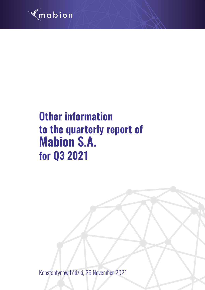

# **Other information to the quarterly report of Mabion S.A. for Q3 2021**

Konstantynów Łódzki, 29 November 2021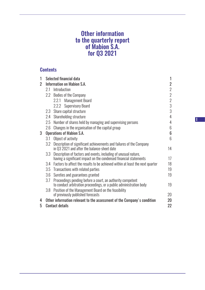# Other information to the quarterly report of Mabion S.A. for Q3 2021

# **Contents**

| 1              |                                   | Selected financial data                                                                                                              |                |  |  |  |
|----------------|-----------------------------------|--------------------------------------------------------------------------------------------------------------------------------------|----------------|--|--|--|
| $\overline{2}$ | <b>Information on Mabion S.A.</b> |                                                                                                                                      |                |  |  |  |
|                | 2.1                               | Introduction                                                                                                                         | $\sqrt{2}$     |  |  |  |
|                | 2.2                               | <b>Bodies of the Company</b>                                                                                                         | $\overline{2}$ |  |  |  |
|                |                                   | <b>Management Board</b><br>2.2.1                                                                                                     | $\sqrt{2}$     |  |  |  |
|                |                                   | 2.2.2 Supervisory Board                                                                                                              | 3              |  |  |  |
|                | 2.3                               | Share capital structure                                                                                                              | 3              |  |  |  |
|                | 2.4                               | Shareholding structure                                                                                                               | 4              |  |  |  |
|                | 2.5                               | Number of shares held by managing and supervising persons                                                                            | $\overline{4}$ |  |  |  |
|                | 2.6                               | Changes in the organisation of the capital group                                                                                     | 6              |  |  |  |
| 3              | <b>Operations of Mabion S.A.</b>  |                                                                                                                                      |                |  |  |  |
|                | 3.1                               | Object of activity                                                                                                                   | 6              |  |  |  |
|                | 3.2                               | Description of significant achievements and failures of the Company<br>in Q3 2021 and after the balance-sheet date                   | 14             |  |  |  |
|                | 3.3                               | Description of factors and events, including of unusual nature,<br>having a significant impact on the condensed financial statements | 17             |  |  |  |
|                |                                   | 3.4 Factors to affect the results to be achieved within at least the next quarter                                                    | 18             |  |  |  |
|                |                                   | 3.5 Transactions with related parties                                                                                                | 19             |  |  |  |
|                | 3.6                               | Sureties and guarantees granted                                                                                                      | 19             |  |  |  |
|                | 3.7                               | Proceedings pending before a court, an authority competent<br>to conduct arbitration proceedings, or a public administration body    | 19             |  |  |  |
|                | 3.8                               | Position of the Management Board on the feasibility<br>of previously published forecasts                                             | 20             |  |  |  |
| 4              |                                   | Other information relevant to the assessment of the Company's condition                                                              | 20             |  |  |  |
| 5              | 22<br><b>Contact details</b>      |                                                                                                                                      |                |  |  |  |

I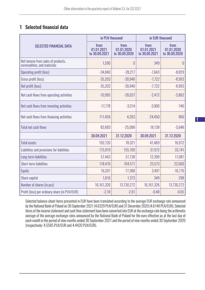# 1 Selected financial data

|                                                                  | in PLN thousand                     |                                     | in EUR thousand                     |                                     |
|------------------------------------------------------------------|-------------------------------------|-------------------------------------|-------------------------------------|-------------------------------------|
| <b>SELECTED FINANCIAL DATA</b>                                   | from<br>01.01.2021<br>to 30.09.2021 | from<br>01.01.2020<br>to 30.09.2020 | from<br>01.01.2021<br>to 30.09.2021 | from<br>01.01.2020<br>to 30.09.2020 |
| Net income from sales of products,<br>commodities, and materials | 1,590                               | 0                                   | 349                                 | $\overline{0}$                      |
| <b>Operating profit (loss)</b>                                   | $-34,840$                           | $-39,217$                           | $-7,643$                            | $-8,829$                            |
| Gross profit (loss)                                              | $-35,203$                           | $-39,948$                           | $-7,722$                            | $-8,993$                            |
| Net profit (loss)                                                | $-35,203$                           | $-39,948$                           | $-7,722$                            | $-8,993$                            |
| Net cash flows from operating activities                         | $-10,995$                           | $-26,037$                           | $-2,412$                            | $-5,862$                            |
| Net cash flows from investing activities                         | $-17,778$                           | $-3,314$                            | $-3,900$                            | $-746$                              |
| Net cash flows from financing activities                         | 111,456                             | 4,263                               | 24,450                              | 960                                 |
| <b>Total net cash flows</b>                                      | 82,683                              | $-25,088$                           | 18,138                              | $-5,648$                            |
|                                                                  | 30.09.2021                          | 31.12.2020                          | 30.09.2021                          | 31.12.2020                          |
| <b>Total assets</b>                                              | 192,120                             | 78,321                              | 41,469                              | 16,972                              |
| Liabilities and provisions for liabilities                       | 175,919                             | 155,709                             | 37,972                              | 33,741                              |
| Long-term liabilities                                            | 57,443                              | 51,138                              | 12,399                              | 11,081                              |
| <b>Short-term liabilities</b>                                    | 118,476                             | 104,571                             | 25,573                              | 22,660                              |
| Equity                                                           | 16,201                              | $-77,388$                           | 3,497                               | $-16,770$                           |
| Share capital                                                    | 1,616                               | 1,373                               | 349                                 | 298                                 |
| Number of shares (in pcs)                                        | 16,161,326                          | 13,730,272                          | 16,161,326                          | 13,730,272                          |
| Profit (loss) per ordinary share (in PLN/EUR)                    | $-2.18$                             | $-2.91$                             | $-0.48$                             | $-0.65$                             |

Selected balance-sheet items presented in EUR have been translated according to the average EUR exchange rate announced by the National Bank of Poland on 30 September 2021 (4.6329 PLN/EUR) and 31 December 2020 (4.6148 PLN/EUR). Selected items of the income statement and cash flow statement have been converted into EUR at the exchange rate being the arithmetic average of the average exchange rates announced by the National Bank of Poland for the euro effective as at the last day of each month in the period of nine months ended 30 September 2021 and the period of nine months ended 30 September 2020 (respectively: 4.5585 PLN/EUR and 4.4420 PLN/EUR).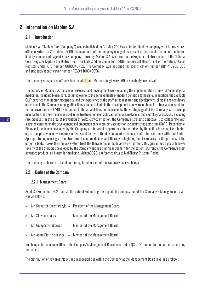# 2 Information on Mabion S.A.

#### 2.1 Introduction

Mabion S.A. ("Mabion" or "Company") was established on 30 May 2007 as a limited liability company with its registered office in Kutno. On 29 October 2009, the legal form of the Company changed as a result of the transformation of the limited liability company into a joint-stock company. Currently, Mabion S.A. is entered on the Register of Entrepreneurs of the National Court Register kept by the District Court for Łódź Śródmieście in Łódź, 20th Commercial Department of the National Court Register under KRS number 0000340462. The Company was assigned tax identification number NIP 7752561383 and statistical identification number REGON 100343056.

The Company's registered office is located at <mark>ul. g</mark>en. Mariana Langiewicza 60 in Konstantynów Łódzki.

The activity of Mabion S.A. focuses on research and development work enabling the implementation of new biotechnological medicines, including biosimilars, obtained owing to the achievements of modern genetic engineering. In addition, the available GMP-certified manufacturing capacity and the experience of the staff in the research and development, clinical, and regulatory areas enable the Company, among other things, to participate in the development of new recombinant protein vaccines related to the prevention of COVID-19 infection. In the area of therapeutic products, the strategic goal of the Company is to develop, manufacture, and sell medicines used in the treatment of neoplastic, autoimmune, metabolic, and neurological diseases, including rare diseases. In the area of prevention of SARS-CoV-2 infection, the Company's strategic objective is to collaborate with a strategic partner in the development and production of new protein vaccines for use against the persisting COVID-19 pandemic. Biological medicines developed by the Company are targeted preparations characterised by the ability to recognise a factor, e.g. a receptor whose overexpression is associated with the development of cancer, and to interact only with that factor. Appropriate engineering of the structure of such medicines and thereby, a high degree of similarity to the proteins of the patient's body, makes the immune system treat the therapeutic antibody as its own protein. This guarantees a possible lower toxicity of the therapies developed by the Company and is a significant benefit for the patient. Currently, the Company's most advanced product is a biosimilar medicine, MabionCD20, a reference drug to MabThera/ Rituxan (Roche).

The Company's shares are listed on the regulated market of the Warsaw Stock Exchange.

#### 2.2 Bodies of the Company

#### 2.2.1 Management Board

As at 30 September 2021 and as the date of submitting this report, the composition of the Company's Management Board was as follows:

| $\rangle$     |                        | Mr. Krzysztof Kaczmarczyk – President of the Management Board; |
|---------------|------------------------|----------------------------------------------------------------|
| $\rightarrow$ | Mr. Sławomir Jaros     | - Member of the Management Board                               |
| $\rightarrow$ | Mr. Grzegorz Grabowicz | - Member of the Management Board                               |

» Mr. Adam Pietruszkiewicz – Member of the Management Board

No changes in the composition of the Company's Management Board occurred in Q3 2021 and up to the date of submitting this report.

The distribution of key areas/tasks and responsibilities within the Company at the Management Board level is as follows: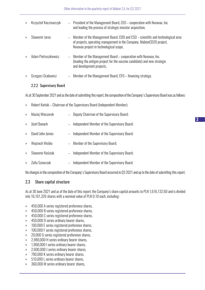| $\rangle$     | Krzysztof Kaczmarczyk |          | - President of the Management Board, CEO – cooperation with Novavax, Inc.<br>and leading the process of strategic investor acquisition,                                                             |
|---------------|-----------------------|----------|-----------------------------------------------------------------------------------------------------------------------------------------------------------------------------------------------------|
| $\mathcal{P}$ | Sławomir Jaros        | $\equiv$ | Member of the Management Board, COO and CSO - scientific and technological area<br>of projects, operating management in the Company, MabionCD20 project,<br>Novavax project in technological scope, |
| $\mathcal{V}$ | Adam Pietruszkiewicz  |          | - Member of the Management Board – cooperation with Novavax, Inc.<br>(leading the antigen project for the vaccine candidate) and new strategic<br>and development projects,                         |
| $\rangle$     | Grzegorz Grabowicz    |          | Member of the Management Board, CFO – financing strategy.                                                                                                                                           |

#### 2.2.2 Supervisory Board

As at 30 September 2021 and as the date of submitting this report, the composition of the Company's Supervisory Board was as follows:

» Robert Koński – Chairman of the Supervisory Board (Independent Member);

| $\gg$         | Maciej Wieczorek | Deputy Chairman of the Supervisory Board;    |
|---------------|------------------|----------------------------------------------|
| $\gg$         | Józef Banach     | Independent Member of the Supervisory Board; |
| $\mathcal{P}$ | David John James | Independent Member of the Supervisory Board; |
| $\gg$         | Wojciech Wośko   | - Member of the Supervisory Board;           |
| $\rightarrow$ | Sławomir Kościak | Independent Member of the Supervisory Board; |
| $\rightarrow$ | Zofia Szewczuk   | Independent Member of the Supervisory Board. |
|               |                  |                                              |

No changes in the composition of the Company's Supervisory Board occurred in Q3 2021 and up to the date of submitting this report.

## 2.3 Share capital structure

As at 30 June 2021 and as of the date of this report, the Company's share capital amounts to PLN 1,616,132.60 and is divided into 16,161,326 shares with a nominal value of PLN 0.10 each, including:

- » 450,000 A series registered preference shares,
- » 450,000 B series registered preference shares,
- » 450,000 C series registered preference shares,
- » 450,000 D series ordinary bearer shares,
- » 100,000 E series registered preference shares,
- » 100,000 F series registered preference shares,
- » 20,000 G series registered preference shares,
- » 2,980,000 H series ordinary bearer shares,
- » 1,900,000 I series ordinary bearer shares,
- » 2,600,000 J series ordinary bearer shares,
- » 790,000 K series ordinary bearer shares,
- » 510,000 L series ordinary bearer shares,
- » 360,000 M series ordinary bearer shares,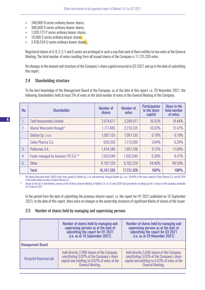- » 340,000 N series ordinary bearer shares,
- » 300,000 O series ordinary bearer shares,
- » 1,920,772 P series ordinary bearer shares,
- » 10,000 S series ordinary bearer shares.
- » 2,430,554 U series ordinary bearer shares,

Registered shares of A, B, C, E, F and G series are privileged in such a way that each of them entitles to two votes at the General Meeting. The total number of votes resulting from all issued shares of the Company is 17,731,326 votes.

No changes in the amount and structure of the Company's share capital occurred in Q3 2021 and up to the date of submitting this report.

#### 2.4 Shareholding structure

To the best knowledge of the Management Board of the Company, as at the date of this report, i.e. 29 November 2021, the following shareholders held at least 5% of votes in the total number of votes at the General Meeting of the Company.

| No. | <b>Shareholder</b>                    | <b>Number of</b><br><b>shares</b> | <b>Number of</b><br>votes | <b>Participation</b><br>in the share<br>capital | Share in the<br>total number<br>of votes |
|-----|---------------------------------------|-----------------------------------|---------------------------|-------------------------------------------------|------------------------------------------|
| 1.  | <b>Twiti Investments Limited</b>      | 2,674,617                         | 3,268,917                 | 16.55%                                          | 18.44%                                   |
| 2.  | Maciej Wieczorek through*:            | 1,717,485                         | 2,210,335                 | 10.63%                                          | 12.47%                                   |
|     | Glatton Sp. z o.o.                    | 1,097,135                         | 1,097,135                 | 6.79%                                           | 6.19%                                    |
|     | Celon Pharma S.A.                     | 620,350                           | 1,113,200                 | 3.84%                                           | 6.28%                                    |
| 3.  | Polfarmex S.A.                        | 1,474,346                         | 1,957,196                 | 9.12%                                           | 11.04%                                   |
| 4.  | Funds managed by Investors TFI S.A.** | 1,502,649                         | 1,502,649                 | 9.30%                                           | 8.47%                                    |
| 5.  | <b>Other</b>                          | 8792229                           | 8,792,229                 | 54.40%                                          | 49.59%                                   |
|     | <b>Total</b>                          | 16,161,326                        | 17,731,326                | <b>100%</b>                                     | <b>100%</b>                              |

*\* Mr Maciej Wieczorek holds 100% of the share capital of Glatton Sp. z o.o. and indirectly, through Glatton Sp. z o.o., 58.84% of the share capital of Celon Pharma S.A. and 68.20% of the total number of votes in Celon Pharma S.A.*

*\*\* Based on the list of shareholders present at the Ordinary General Meeting of Mabion S.A. on 15 June 2020 and agreements on taking up the U shares of the Company concluded on 15 March 2021.*

In the period from the date of submitting the previous interim report, i.e. the report for H1 2021 published on 16 September 2021, to the date of this report, there were no changes in the ownership structure of significant blocks of shares of the Issuer.

#### 2.5 Number of shares held by managing and supervising persons

|                                                                                                                                                                                                      | Number of shares held by managing and<br>supervising persons as at the date of<br>submitting the report for H1 2021<br>(i.e. as at 16 September 2021) | Number of shares held by managing and<br>supervising persons as at the date of<br>submitting the report for Q3 2021<br>(i.e. as at 29 November 2021)                 |  |  |  |  |
|------------------------------------------------------------------------------------------------------------------------------------------------------------------------------------------------------|-------------------------------------------------------------------------------------------------------------------------------------------------------|----------------------------------------------------------------------------------------------------------------------------------------------------------------------|--|--|--|--|
| <b>Management Board</b>                                                                                                                                                                              |                                                                                                                                                       |                                                                                                                                                                      |  |  |  |  |
| held directly 2,998 shares of the Company,<br>constituting 0.02% of the Company's share<br><b>Krzysztof Kaczmarczyk</b><br>capital and entitling to 0.02% of votes at the<br><b>General Meeting.</b> |                                                                                                                                                       | held directly 5,640 shares of the Company,<br>constituting 0.03% of the Company's share<br>capital and entitling to 0.03% of votes at the<br><b>General Meeting.</b> |  |  |  |  |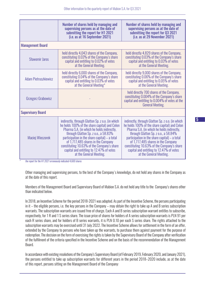|                           | Number of shares held by managing and<br>supervising persons as at the date of<br>submitting the report for H1 2021                                                                                                                                                                                                                                                                                 | Number of shares held by managing and<br>supervising persons as at the date of<br>submitting the report for Q3 2021                                                                                                                                                                                                                                                                                 |  |  |
|---------------------------|-----------------------------------------------------------------------------------------------------------------------------------------------------------------------------------------------------------------------------------------------------------------------------------------------------------------------------------------------------------------------------------------------------|-----------------------------------------------------------------------------------------------------------------------------------------------------------------------------------------------------------------------------------------------------------------------------------------------------------------------------------------------------------------------------------------------------|--|--|
|                           | (i.e. as at 16 September 2021)                                                                                                                                                                                                                                                                                                                                                                      | (i.e. as at 29 November 2021)                                                                                                                                                                                                                                                                                                                                                                       |  |  |
| <b>Management Board</b>   |                                                                                                                                                                                                                                                                                                                                                                                                     |                                                                                                                                                                                                                                                                                                                                                                                                     |  |  |
| <b>Sławomir Jaros</b>     | held directly 4,043 shares of the Company,<br>constituting 0.03% of the Company's share<br>capital and entitling to 0.02% of votes<br>at the General Meeting.                                                                                                                                                                                                                                       | held directly 4,829 shares of the Company,<br>constituting 0.03% of the Company's share<br>capital and entitling to 0.03% of votes<br>at the General Meeting.                                                                                                                                                                                                                                       |  |  |
| Adam Pietruszkiewicz      | held directly 6,000 shares of the Company,<br>constituting 0.04% of the Company's share<br>capital and entitling to 0.03% of votes<br>at the General Meeting*                                                                                                                                                                                                                                       | held directly 9,000 shares of the Company,<br>constituting 0.06% of the Company's share<br>capital and entitling to 0.05% of votes<br>at the General Meeting.                                                                                                                                                                                                                                       |  |  |
| <b>Grzegorz Grabowicz</b> |                                                                                                                                                                                                                                                                                                                                                                                                     | held directly 700 shares of the Company,<br>constituting 0.004% of the Company's share<br>capital and entitling to 0.004% of votes at the<br><b>General Meeting.</b>                                                                                                                                                                                                                                |  |  |
| <b>Supervisory Board</b>  |                                                                                                                                                                                                                                                                                                                                                                                                     |                                                                                                                                                                                                                                                                                                                                                                                                     |  |  |
| Maciej Wieczorek          | indirectly, through Glatton Sp. z o.o. (in which<br>he holds 100% of the share capital) and Celon<br>Pharma S.A. (in which he holds indirectly,<br>through Glatton Sp. z o.o., a 58.83%<br>participation in the share capital) - a total<br>of 1,717,485 shares in the Company<br>constituting 10.63% of the Company's share<br>capital and entitling to 12.47% of votes<br>at the General Meeting. | indirectly, through Glatton Sp. z o.o. (in which<br>he holds 100% of the share capital) and Celon<br>Pharma S.A. (in which he holds indirectly,<br>through Glatton Sp. z o.o., a 58.84%<br>participation in the share capital) - a total<br>of 1,717,485 shares in the Company<br>constituting 10.63% of the Company's share<br>capital and entitling to 12.47% of votes<br>at the General Meeting. |  |  |

*\* the report for the H1 2021 erroneously indicated 4,600 shares*

Other managing and supervising persons, to the best of the Company's knowledge, do not hold any shares in the Company as at the date of this report.

Members of the Management Board and Supervisory Board of Mabion S.A. do not hold any title to the Company's shares other than indicated below.

In 2018, an Incentive Scheme for the period 2018-2021 was adopted. As part of the Incentive Scheme, the persons participating in it – the eligible persons, i.e. the key persons in the Company – may obtain the right to take up A and B series subscription warrants. The subscription warrants are issued free of charge. Each A and B series subscription warrant entitles to subscribe, respectively, for 1 R and 1 S series share. The issue price of shares for holders of A series subscription warrants is PLN 91 per each R series share, and for holders of B series warrants, it is PLN 0.10 per each S series share. The rights attached to the subscription warrants may be exercised until 31 July 2022. The Incentive Scheme allows for settlement in the form of an offer, extended by the Company to persons who have taken up the warrants, to purchase them against payment for the purpose of redemption. The decision on the form of exercising the rights is taken by the Supervisory Board of the Company after verification of the fulfilment of the criteria specified in the Incentive Scheme and on the basis of the recommendation of the Management Board.

In accordance with existing resolutions of the Company's Supervisory Board (of February 2019, February 2020, and January 2021), the persons entitled to take up subscription warrants for different years in the period 2018–2020 include, as at the date of this report, persons sitting on the Management Board of the Company: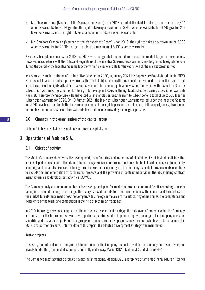- » Mr. Sławomir Jaros (Member of the Management Board) for 2018: granted the right to take up a maximum of 5,644 A series warrants; for 2019: granted the right to take up a maximum of 3,960 A series warrants; for 2020: granted 213 B series warrants and the right to take up a maximum of 6,099 A series warrants;
- » Mr. Grzegorz Grabowicz (Member of the Management Board) for 2019: the right to take up a maximum of 3,300 A series warrants; for 2020: the right to take up a maximum of 5,101 A series warrants.

A series subscription warrants for 2018 and 2019 were not granted due to failure to meet the market target in these periods. However, in accordance with the Rules and Regulations of the Incentive Scheme, these warrants may be granted to eligible persons during the period of the Incentive Scheme together with A series warrants for the year in which the market target is met.

As regards the implementation of the Incentive Scheme for 2020, in January 2021 the Supervisory Board stated that in 2020, with respect to A series subscription warrants, the market objective constituting one of the two conditions for the right to take up and exercise the rights attached to A series warrants to become applicable was not met, while with respect to B series subscription warrants, the condition for the right to take up and exercise the rights attached to B series subscription warrants was met. Therefore the Supervisory Board vested, all in eligible persons, the right to subscribe for a total of up to 500 B series subscription warrants for 2020. On 10 August 2021, the B series subscription warrants vested under the Incentive Scheme for 2020 have been credited to the investment accounts of the eligible persons. Up to the date of this report, the rights attached to the above-mentioned subscription warrants have not been exercised by the eligible persons.

## 2.6 Changes in the organisation of the capital group

Mabion S.A. has no subsidiaries and does not form a capital group.

# 3 Operations of Mabion S.A.

#### 3.1 Object of activity

The Mabion's primary objective is the development, manufacturing and marketing of biosimilars, i.e. biological medicines that are developed to be similar to the original biotech drugs (known as reference medicines) in the fields of oncology, autoimmunity, neurology and metabolic diseases, including rare diseases. In the current year, the Company expanded the scope of its operations to include the implementation of partnership projects and the provision of contracted services, thereby starting contract manufacturing and development activities (CDMO).

The Company analyses on an annual basis the development plan for medicinal products and modifies it according to needs, taking into account, among other things, the expiry dates of patents for reference medicines, the current and forecast size of the market for reference medicines, the Company's technology in the area of manufacturing of medicines, the competence and experience of the team, and competition in the field of biosimilar medicines.

In 2019, following a review and update of the medicines development strategy, the catalogue of projects which the Company, currently or in the future, on its own or with partners, is interested in implementing, was changed. The Company classified scientific and research projects in three groups of projects, i.e. active projects, new projects which were to be launched in 2019, and partner projects. Until the date of this report, the adopted development strategy was maintained.

#### Active projects

This is a group of projects of the greatest importance for the Company, as part of which the Company carries out work and invests funds. The group includes projects currently under way: MabionCD20, MabionMS, and MabionEGFR.

The Company's most advanced product is a biosimilar medicine, MabionCD20, a reference drug to MabThera/ Rituxan (Roche).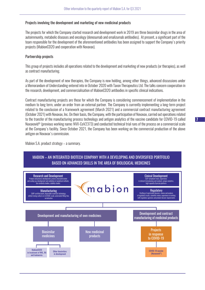#### Projects involving the development and marketing of new medicinal products

The projects for which the Company started research and development work in 2019 are three biosimilar drugs in the area of autoimmunity, metabolic diseases and oncology (denosumab and omalizumab antibodies). At present, a significant part of the team responsible for the development of the aforementioned antibodies has been assigned to support the Company's priority projects (MabionCD20 and cooperation with Novavax).

#### Partnership projects

This group of projects includes all operations related to the development and marketing of new products (or therapies), as well as contract manufacturing.

As part of the development of new therapies, the Company is now holding, among other things, advanced discussions under a Memorandum of Understanding entered into in October 2020 with Taxon Therapeutics Ltd. The talks concern cooperation in the research, development, and commercialisation of MabionCD20 antibodies in specific clinical indications.

Contract manufacturing projects are those for which the Company is considering commencement of implementation in the medium to long term, under an order from an external partner. The Company is currently implementing a long-term project related to the conclusion of a framework agreement (March 2021) and a commercial contract manufacturing agreement (October 2021) with Novavax, Inc. On their basis, the Company, with the participation of Novavax, carried out operations related to the transfer of the manufacturing process technology and antigen analytics of the vaccine candidate for COVID-19 called Nuvaxovid® (previous working name: NVX-CoV2373) and conducted technical trial runs of the process on a commercial scale at the Company's facility. Since October 2021, the Company has been working on the commercial production of the above antigen on Novavax's commission.

Mabion S.A. product strategy – a summary.

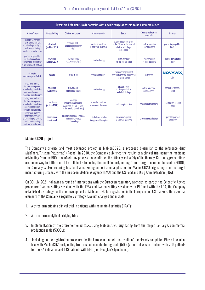| Diversified Mabion's R&D portfolio with a wide range of assets to be commercialized                                   |                           |                                                                                             |                                              |                                                                                                 |                                |                                 |
|-----------------------------------------------------------------------------------------------------------------------|---------------------------|---------------------------------------------------------------------------------------------|----------------------------------------------|-------------------------------------------------------------------------------------------------|--------------------------------|---------------------------------|
| <b>Mabion's role</b>                                                                                                  | Molecule/drug             | <b>Clinical indication</b>                                                                  | <b>Characteristics</b>                       | <b>Status</b>                                                                                   | Commercialisation<br>approach  | <b>Partner</b>                  |
| integrated partner<br>for the development<br>of technology, analytics,<br>and manufacturing.<br>medicine manufacturer | rituximab<br>(MabionCD20) | oncology (NHL)<br>and autoimmunology<br>(RA)                                                | biosimilar medicine<br>in approved therapies | at the registration stage<br>in the EU and at the phase I<br>clinical trial stage<br>in the USA | active business<br>development | partnering-capable<br>asset     |
| partner responsible<br>for development and<br>delivery of a product for<br>trials and future therapy                  | rituximab<br>(MabionCD20) | rare diseases<br>(autoimmunology)                                                           | innovative therapy                           | product ready<br>for the clinical stage                                                         | memorandum<br>of understanding | partnering-capable<br>asset     |
| strategic<br>co-developer / CMDO                                                                                      | vaccine                   | <b>COVID-19</b>                                                                             | innovative therapy                           | framework agreement<br>and first order for contracted<br>services signed                        | partnering                     | <b>NOVAVAX</b><br><b>USA</b>    |
| integrated partner<br>for the development<br>of technology, analytics,<br>and manufacturing.<br>medicine manufacturer | rituximab<br>(MabionMS)   | <b>CNS</b> disease<br>(multiple sclerosis)                                                  | innovative therapy                           | product ready<br>for the pre-clinical<br>and clinical stage                                     | active business<br>development | partnering-capable<br>asset     |
| integrated partner<br>for the development<br>of technology, analytics,<br>and manufacturing.<br>medicine manufacturer | cetuximab<br>(MabionEGFR) | oncology<br>(colorectal carcinoma.<br>squamous cell carcinoma<br>of the head and neck area) | biosimilar medicine<br>in approved therapies | cell line optimisation                                                                          | pre-commercial stage           | partnering-capable<br>asset     |
| integrated partner<br>for thedevelopment<br>of technology, analytics,<br>and manufacturing,<br>medicine manufacturer  | denosumab,<br>omalizumab  | autoimmunological diseases,<br>metabolic diseases<br>and oncology                           | biosimilar medicine<br>in approved therapies | active development<br>of relevant cell lines                                                    | pre-commercial stage           | possible partners<br>identified |

#### MabionCD20 project

The Company's priority and most advanced project is MabionCD20, a proposed biosimilar to the reference drug MabThera/Rituxan (rituximab) (Roche). In 2018, the Company published the results of a clinical trial using the medicine originating from the 500L manufacturing process that confirmed the efficacy and safety of the therapy. Currently, preparations are under way to initiate a trial at clinical sites using the medicine originating from a target, commercial scale (5000L) The Company is also preparing to submit a marketing authorisation application for MabionCD20 originating from the target manufacturing process with the European Medicines Agency (EMA) and the US Food and Drug Administration (FDA).

On 30 July 2021, following a round of interactions with the European regulatory agencies as part of the Scientific Advice procedure (two consulting sessions with the EMA and two consulting sessions with PEI) and with the FDA, the Company established a strategy for the co-development of MabionCD20 for registration in the European and US markets. The essential elements of the Company's regulatory strategy have not changed and include:

- 1. A three-arm bridging clinical trial in patients with rheumatoid arthritis ("RA");
- 2. A three-arm analytical bridging trial;
- 3. Implementation of the aforementioned tasks using MabionCD20 originating from the target, i.e. large, commercial production scale (5000L);
- 4. Including, in the registration procedure for the European market, the results of the already completed Phase III clinical trial with MabionCD20 originating from a small manufacturing scale (500L); the trial was carried out with 709 patients for the RA indication and 143 patients with NHL (non-Hodgkin's lymphoma).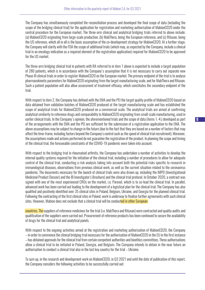The Company has simultaneously completed the reconciliation process and developed the final scope of data (including the scope of the bridging clinical trial) for the application for registration and marketing authorisation of MabionCD20 under the central procedure for the European market. The three-arm clinical and analytical bridging trials referred to above include: (a) MabionCD20 originating from large-scale production, (b) MabThera, being the European reference, and (c) Rituxan, being the US reference, which all in all is the basic assumption of the co-development strategy for MabionCD20. At a further stage, the Company will clarify with the FDA the scope of additional trials (which may, as expected by the Company, include a clinical trial in an oncology indication as a required element of the registration application) required for MabionCD20 to be approved for the US market.

The three-arm bridging clinical trial in patients with RA referred to in item 1 above is expected to include a target population of 280 patients, which is in accordance with the Company's assumption that it is not necessary to carry out separate new Phase III clinical trials in order to register MabionCD20 on the European market. The primary endpoint of the trial is to analyse pharmacokinetic parameters for MabionCD20 originating from the target manufacturing scale, and for MabThera and Rituxan. Such a patient population will also allow assessment of treatment efficacy, which constitutes the secondary endpoint of the trial.

With respect to item 2, the Company has defined with the EMA and the PEI the target quality profile of MabionCD20 based on data obtained from validation batches of MabionCD20 produced at the target manufacturing scale and has established the scope of analytical trials for MabionCD20 produced on a commercial scale. The analytical trials are aimed at confirming analytical similarity to reference drugs and comparability to MabionCD20 originating from small-scale manufacturing, used in earlier clinical trials. In the Company's opinion, the aforementioned trials and the scope of data (items 1.-4.) developed as part of the arrangements with the EMA and the PEI are sufficient for the submission of a registration application to the EMA. The above assumptions may be subject to change in the future (due to the fact that they are based on a number of factors that may affect the time-frame, including factors beyond the Company's control such as the speed of clinical trial recruitment). Moreover, the assumptions made and actions performed do not guarantee the registration of the product. In planning the scope and timing of the clinical trial, the foreseeable constraints of the COVID-19 pandemic were taken into account.

With respect to the bridging trial in rheumatoid arthritis, the Company has undertaken a number of activities to develop the internal quality systems required for the initiation of the clinical trial, including a number of procedures to allow for adequate control of the clinical trial, conducting a risk analysis taking into account both the potential risks specific to research in immunological diseases, observations from previous clinical work, as well as the current situation related to the coronavirus pandemic. The documents necessary for the launch of clinical trials were also drawn up, including the IMPD (Investigational Medicinal Product Dossier) and the IB Investigator's Brochure) and the clinical trial protocol. In October 2020, a contract was signed with one of the most experienced CROs on the market, i.e. Parexel, which is to co-lead the clinical trial. In parallel, advanced work has been carried out leading to the development of a logistical plan for the clinical trial. The Company has also qualified and positively identified over 35 clinical sites in Poland, Belgium, Ukraine, and Georgia for the planned clinical trial. Following the contracting of the first clinical sites in Poland, work is underway to finalise further agreements with such clinical sites. However, Mabion does not exclude that a clinical trial will be conducted in other European

countries. The suppliers of reference medicines for the trial (i.e. MabThera and Rituxan) were contracted and quality audits and qualification of the suppliers were carried out. Procurement of reference products has been continued to secure the availability of drugs for the clinical trial and analytical panels.

With respect to the ongoing activities aimed at the registration and marketing authorisation of MabionCD20, the Company – in order to commence the clinical bridging trial necessary for the authorisation of MabionCD20 in the EU in the first instance – has obtained approvals for the clinical trial from certain competent authorities and bioethics committees. These authorisations allow a clinical trial to be initiated in Poland, Georgia, and Belgium. The Company intends to obtain in the near future an authorisation to conduct a clinical trial also in the last key country for the trial – Ukraine.

To sum up, in the research and development work on MabionCD20, in Q3 2021 and until the date of publication of this report, the Company considers the following activities to be successfully carried out: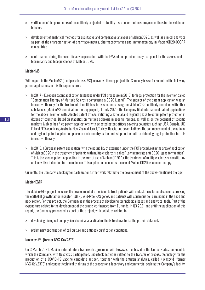- » verification of the parameters of the antibody subjected to stability tests under routine storage conditions for the validation batches;
- » development of analytical methods for qualitative and comparative analyses of MabionCD20, as well as clinical analytics as part of the characterisation of pharmacokinetics, pharmacodynamics and immunogenicity in MabionCD20-003RA clinical trial;
- » confirmation, during the scientific advice procedure with the EMA, of an optimised analytical panel for the assessment of biosimilarity and bioequivalence of MabionCD20.

#### MabionMS

With regard to the MabionMS (multiple sclerosis, MS) innovative therapy project, the Company has so far submitted the following patent applications in this therapeutic area:

- » In 2017 European patent application (extended under PCT procedure in 2018) for legal protection for the invention called "Combination Therapy of Multiple Sclerosis comprising a CD20 Ligand". The subject of the patent application was an innovative therapy for the treatment of multiple sclerosis patients using the MabionCD20 antibody combined with other substances (MabionMS combination therapy project). In July 2020, the Company filed international patent applications for the above invention with selected patent offices, initiating a national and regional phase to obtain patent protection in dozens of countries. Based on statistics on multiple sclerosis in specific regions, as well as on the potential of specific markets, Mabion has filed patent applications with selected patent offices covering countries such as: USA, Canada, UK, EU and EFTA countries, Australia, New Zealand, Israel, Turkey, Russia, and several others. The commencement of the national and regional patent application phase in each country is the next step on the path to obtaining legal protection for this innovative therapy.
- » In 2018, a European patent application (with the possibility of extension under the PCT procedure) in the area of application of MabionCD20 in the treatment of patients with multiple sclerosis, called "Low aggregate anti CD20 ligand formulation". This is the second patent application in the area of use of MabionCD20 for the treatment of multiple sclerosis, constituting an innovative indication for the molecule. This application concerns the use of MabionCD20 as a monotherapy.

Currently, the Company is looking for partners for further work related to the development of the above-mentioned therapy.

#### **MabionEGFR**

The MabionEGFR project concerns the development of a medicine to treat patients with metastatic colorectal cancer expressing the epithelial growth factor receptor (EGFR), wild-type RAS genes, and patients with squamous cell carcinoma in the head and neck region. For this project, the Company is in the process of developing technological bases and analytical tools. Part of the expenditure related to the development of the drug is co-financed from EU funds. In Q3 2021 and until the publication of this report, the Company proceeded, as part of the project, with activities related to:

- » developing biological and physico-chemical analytical methods to characterise the protein obtained;
- » preliminary optimisation of cell culture and antibody purification conditions.

#### Nuvaxovid® (former NVX-CoV2373)

On 3 March 2021, Mabion entered into a framework agreement with Novavax, Inc. based in the United States, pursuant to which the Company, with Novavax's participation, undertook activities related to the transfer of process technology for the production of a COVID-19 vaccine candidate antigen, together with the antigen analytics, called Nuvaxovid (former NVX-CoV2373) and conduct technical trial runs of the process on a laboratory and commercial scale at the Company's facility.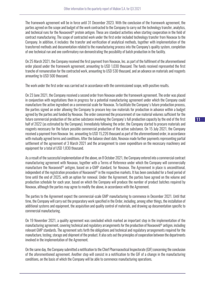The framework agreement will be in force until 31 December 2023. With the conclusion of the framework agreement, the parties agreed on the scope and budget of the work contracted to the Company to carry out the technology transfer, analytics, and technical runs for the Nuvaxovid® protein antigen. These are standard activities when starting cooperation in the field of contract manufacturing. The scope of contracted work under the first order included technology transfer from Novavax to the Company. In addition, it includes: the transfer and verification of analytical methods, together with implementation of the transferred methods and documentation related to the manufacturing process into the Company's quality system, completion of one technical run and one confirmatory run demonstrating the possibility of batch production in the facility.

On 25 March 2021, the Company received the first payment from Novavax, Inc. as part of the fulfilment of the aforementioned order placed under the framework agreement, amounting to USD 1,030 thousand. The funds received represented the first tranche of remuneration for the contracted work, amounting to USD 530 thousand, and an advance on materials and reagents amounting to USD 500 thousand.

The work under the first order was carried out in accordance with the commissioned scope, with positive results.

On 23 June 2021, the Company received a second order from Novavax under the framework agreement. The order was placed in conjunction with negotiations then in progress for a potential manufacturing agreement under which the Company could manufacture the active ingredient on a commercial scale for Novavax. To facilitate the Company's future production process, the parties signed an order allowing the Company to procure key raw materials for production in advance within a budget agreed by the parties and funded by Novavax. The order concerned the procurement of raw material volumes sufficient for the future commercial production of the active substance involving the Company's full production capacity by the end of the first half of 2022 (as estimated by the Company). Immediately following the order, the Company started to procure materials and reagents necessary for the future possible commercial production of the active substance. On 15 July 2021, the Company received a payment from Novavax Inc. amounting to USD 15,226 thousand as part of the aforementioned order, in accordance with mutually agreed terms and conditions. After the balance sheet date, Novavax made further payments representing partial settlement of the agreement of 3 March 2021 and the arrangement to cover expenditure on the necessary machinery and equipment for a total of USD 1,830 thousand.

As a result of the successful implementation of the above, on 8 October 2021, the Company entered into a commercial contract manufacturing agreement with Novavax, together with a Terms of Reference under which the Company will commercially manufacture the Nuvaxovid® antigen, based on a-GMP standard, for Novavax. The Agreement in place is unconditional, independent of the registration procedure of Nuvaxovid® in the respective markets. It has been concluded for a fixed period of time until the end of 2025, with an option for renewal. Under the Agreement, the parties have agreed on the volume and production schedule for each year, based on which the Company will produce the number of product batches required by Novavax, although the parties may agree to modify the above, in accordance with the Agreement.

The parties to the Agreement expect the commercial-scale GMP manufacturing to commence in December 2021. Until that time, the Company will carry out the preparatory work specified in the Order, including, among other things, the installation of additional systems and equipment, the acquisition and quality control of materials, and drawing up documentation specific to commercial manufacturing.

On 19 November 2021, a quality agreement was concluded which marked an important step in the implementation of the manufacturing agreement, covering technical and regulatory arrangements for the production of Nuvaxovid® antigen, including relevant GMP standards. The agreement sets forth the obligations and technical and regulatory arrangements required for the manufacture, testing, storage and shipment of the product. It also sets out the principles of cooperation between the departments involved in the implementation of the Agreement.

On the same day, the Company submitted a notification to the Chief Pharmaceutical Inspectorate (GIF) concerning the conclusion of the aforementioned agreement. Another step will consist in a notification to the GIF of a change in the manufacturing conditions, on the basis of which the Company will be able to commence manufacturing operations.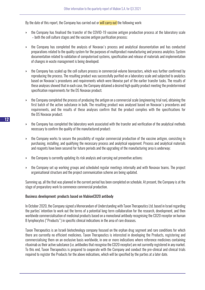By the date of this report, the Company has carried out or will carry out the following work:

- » the Company has finalised the transfer of the COVID-19 vaccine antigen production process at the laboratory scale – both the cell culture stages and the vaccine antigen purification process;
- » the Company has completed the analysis of Novavax's process and analytical documentation and has conducted preparations related to the quality system for the purposes of multiproduct manufacturing and process analytics; System documentation related to validation of computerised systems, specification and release of materials and implementation of changes in waste management is being developed;
- » the Company has scaled up the cell culture process in commercial-volume bioreactors, which was further confirmed by reproducing the process. The resulting product was successfully purified on a laboratory scale and subjected to analytics based on Novavax's procedures and requirements which were likewise part of the earlier transfer tasks. The results of these analyses showed that in each case, the Company obtained a desired high quality product meeting the predetermined specification requirements for the DS Novavax product;
- » the Company completed the process of producing the antigen on a commercial scale (engineering trial run), obtaining the first batch of the active substance in bulk. The resulting product was analysed based on Novavax's procedures and requirements, and the results of these analyses confirm that the product complies with the specifications for the DS Novavax product;
- » the Company has completed the laboratory work associated with the transfer and verification of the analytical methods necessary to confirm the quality of the manufactured product;
- » the Company works to secure the possibility of regular commercial production of the vaccine antigen, consisting in purchasing, installing, and qualifying the necessary process and analytical equipment. Process and analytical materials and reagents have been secured for future periods and the upgrading of the manufacturing area is underway;
- » the Company is currently updating its risk analysis and carrying out preventive actions;
- » the Company set up working groups and scheduled regular meetings internally and with Novavax teams. The project organisational structure and the project communication scheme are being updated.

Summing up, all the that was planned in the current period has been completed on schedule. At present, the Company is at the stage of preparatory work to commence commercial production.

#### Business development: products based on MabionCD20 antibody

In October 2020, the Company signed a Memorandum of Understanding with Taxon Therapeutics Ltd. based in Israel regarding the parties' intention to work out the terms of a potential long-term collaboration for the research, development, and then worldwide commercialisation of medicinal products based on a monoclonal antibody recognising the CD20 receptor on human B lymphocytes ("Products") in specific clinical indications in the area of rare diseases.

Taxon Therapeutics is an Israeli biotechnology company focused on the orphan drug segment and rare conditions for which there are currently no efficient medicines. Taxon Therapeutics is interested in developing the Products, registering and commercialising them on an exclusive basis worldwide, in one or more indications where reference medicines containing rituximab as their active substance (i.e. antibodies that recognise the CD20 receptor) are not currently registered in any market. To this end, Taxon Therapeutics is prepared to cooperate with the Company and conduct the pre-clinical and clinical trials required to register the Products for the above indications, which will be specified by the parties at a later date.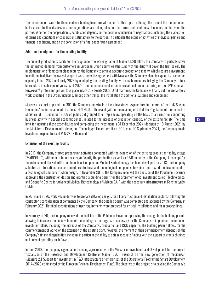The memorandum was intentional and non-binding in nature. At the date of this report, although the term of the memorandum had expired, further discussions and negotiations are taking place on the terms and conditions of cooperation between the parties. Whether the cooperation is established depends on the positive conclusion of negotiations, including the elaboration of terms and conditions of cooperation satisfactory to the parties, in particular the scope of activities of individual parties and financial conditions, and on the conclusion of a final cooperation agreement.

#### Additional equipment for the existing facility

The current production capacity for the drug under the working name of MabionCD20 allows the Company to partially cover the estimated demand from customers in European Union countries (the supply of the drug will cover the first sales). The implementation of long-term plans requires the Company to achieve adequate production capacity, which requires investment. In addition, to deliver the agreed scope of work under the agreement with Novavax, the Company plans to expand its production capacity in late 2022 and early 2023 by equipping the existing facility with new bioreactors, bringing the Company to four bioreactors in subsequent years as of 2023. The commencement of commercial-scale manufacturing of the GMP-standard Nuvaxovid® protein antigen will take place in late 2021/early 2022. Until that time, the Company will carry out the preparatory work specified in the Order, including, among other things, the installation of additional systems and equipment.

Moreover, as part of permit no. 301, the Company undertook to incur investment expenditure in the area of the Łódź Special Economic Zone in the amount of at least PLN 20,000 thousand (within the meaning of § 6 of the Regulation of the Council of Ministers of 10 December 2008 on public aid granted to entrepreneurs operating on the basis of a permit for conducting business activity in special economic zones), related to the increase of production capacity of the existing facility. The time limit for incurring these expenditures and completing the investment is 31 December 2024 (decision of 10 August 2021 by the Minister of Development, Labour, and Technology). Under permit no. 301, as at 30 September 2021, the Company made investment expenditures of PLN 2803 thousand.

#### Extension of the existing facility

In 2017, the Company started preparation activities connected with the expansion of the existing production facility (stage "MABION II"), with an aim to increase significantly the production as well as R&D capacity of the Company. A concept for the extension of the Scientific and Industrial Complex for Medical Biotechnology has been developed. In 2018, the Company selected an international consortium of architectural and technological companies, to which it entrusted the development of a technological and construction design. In November 2018, the Company received the decision of the Pabianice Governor approving the construction design and granting a building permit for the aforementioned investment called "Technological and Scientific Centre for Advanced Medical Biotechnology of Mabion S.A." with the necessary infrastructure in Konstantynów Łódzki.

In 2019 and 2020, work was under way to prepare detailed designs for all construction and installation sectors. Following the contractor's consideration of comments by the Company, the detailed design was completed and accepted by the Company in February 2021. Detailed specifications of user requirements were prepared for critical installations and main process lines.

In February 2020, the Company received the decision of the Pabianice Governor approving the change to the building permit, allowing to increase the cubic volume of the building to the target size necessary for the Company to implement the intended investment plans, including the increase of the Company's production and R&D capacity. The building permit allows for the commencement of works on the extension of the existing plant, however, the moment of their commencement depends on the Company's financial capabilities, including in particular the ability to obtain adequate funding with the support of grants obtained and current operating cash flows.

In June 2018, the Company signed a co-financing agreement with the Minister of Investment and Development for the project "Expansion of the Research and Development Centre of Mabion S.A. – research on the new generation of medicines" (Measure 2.1 Support for investment in R&D infrastructure of enterprises of the Operational Programme Smart Development 2014–2020 co-financed by the European Regional Development Fund). The objective of the project is to develop the Company's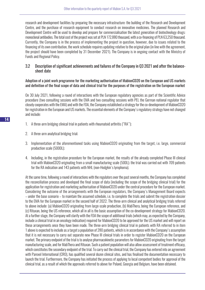research and development facilities by preparing the necessary infrastructure: the building of the Research and Development Centre, and the purchase of research equipment to conduct research on innovative medicines. The planned Research and Development Centre will be used to develop and prepare for commercialisation the latest generation of biotechnology drugs: monoclonal antibodies. The total cost of the project was set at PLN 172,880 thousand, with a co-financing of PLN 63,250 thousand. Currently, the Company is in the process of implementing the project in question, however, due to issues related to the financing of its own contribution, the work schedule requires updating relative to the original plan (in line with the agreement, the project should have been completed by 31 December 2021). The Company is in ongoing contact with the Ministry of Funds and Regional Policy.

#### 3.2 Description of significant achievements and failures of the Company in Q3 2021 and after the balancesheet date

Adoption of a joint work programme for the marketing authorisation of MabionCD20 on the European and US markets and definition of the final scope of data and clinical trial for the purposes of the registration on the European market

On 30 July 2021, following a round of interactions with the European regulatory agencies as part of the Scientific Advice procedure (two consulting sessions with the EMA and two consulting sessions with PEI, the German national regulator that closely cooperates with the EMA) and with the FDA, the Company established a strategy for the co-development of MabionCD20 for registration in the European and US markets. The essential elements of the Company's regulatory strategy have not changed and include:

- 1. A three-arm bridging clinical trial in patients with rheumatoid arthritis ("RA");
- 2. A three-arm analytical bridging trial;
- 3. Implementation of the aforementioned tasks using MabionCD20 originating from the target, i.e. large, commercial production scale (5000L);
- 4. Including, in the registration procedure for the European market, the results of the already completed Phase III clinical trial with MabionCD20 originating from a small manufacturing scale (500L); the trial was carried out with 709 patients for the RA indication and 143 patients with NHL (non-Hodgkin's lymphoma).

At the same time, following a round of interactions with the regulators over the past several months, the Company has completed the reconciliation process and developed the final scope of data (including the scope of the bridging clinical trial) for the application for registration and marketing authorisation of MabionCD20 under the central procedure for the European market. Considering the outcome of the arrangements with the European regulators, the Company's Management Board expects – under the base scenario – to maintain the assumed schedule, i.e. to complete the trials and submit the registration dossier to the EMA for the European market in the second half of 2022. The three-arm clinical and analytical bridging trials referred to above include: (a) MabionCD20 originating from large-scale production, (b) MabThera, being the European reference, and (c) Rituxan, being the US reference, which all in all is the basic assumption of the co-development strategy for MabionCD20. At a further stage, the Company will clarify with the FDA the scope of additional trials (which may, as expected by the Company, include a clinical trial in an oncology indication) required for MabionCD20 to be approved for the US market and will report on these arrangements once they have been made. The three-arm bridging clinical trial in patients with RA referred to in item 1 above is expected to include as a target a population of 280 patients, which is in accordance with the Company's assumption that it is not necessary to carry out separate new Phase III clinical trials in order to register MabionCD20 on the European market. The primary endpoint of the trial is to analyse pharmacokinetic parameters for MabionCD20 originating from the target manufacturing scale, and for MabThera and Rituxan. Such a patient population will also allow assessment of treatment efficacy, which constitutes the secondary endpoint of the trial. To carry out the clinical trial, the Company has entered into an agreement with Parexel International (CRO), has qualified several dozen clinical sites, and has finalised the documentation necessary to launch the trial. Furthermore, the Company has initiated the process of applying to local competent bodies for approval of the clinical trial, as a result of which the approvals referred to above for Poland, Georgia and Belgium, have been obtained.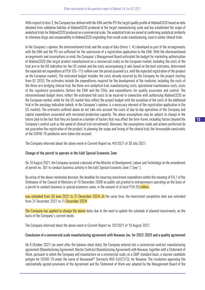With respect to item 2, the Company has defined with the EMA and the PEI the target quality profile of MabionCD20 based on data obtained from validation batches of MabionCD20 produced at the target manufacturing scale and has established the scope of analytical trials for MabionCD20 produced on a commercial scale. The analytical trials are aimed at confirming analytical similarity to reference drugs and comparability to MabionCD20 originating from small-scale manufacturing, used in earlier clinical trials.

In the Company's opinion, the aforementioned trials and the scope of data (items 1.-4.) developed as part of the arrangements with the EMA and the PEI are sufficient for the submission of a registration application to the EMA. With the aforementioned arrangements and assumptions in mind, the Company's Management Board estimated the budget for marketing authorisation of MabionCD20 (the target product manufactured on a commercial scale) on the European market, including the costs of the trial arm in the RA indication for the US market and the costs accompanying it and, based on the best estimates, determined the expected net expenditure at PLN 105–115 million over the period assumed (i.e. until the expected registration of the product on the European market). The estimated budget includes the costs already incurred by the Company for the project starting from Q1 2020. The estimates include the expenditures required for the development of the medicine, including the costs of the three-arm bridging clinical trial, the three-arm analytical trial, manufacturing costs, operational maintenance costs, costs of the regulatory procedures (before the EMA and the FDA), and expenditures for quality assurance and control. The aforementioned budget items reflect the estimated full costs to be incurred in connection with authorising MabionCD20 on the European market, while for the US market they reflect the project budget with the exception of the costs of the additional trial in the oncology indication (which, in the Company's opinion, is a necessary element of the registration application in the US market). The estimates outlined above do not take into account the costs of day-to-day operations of the Company and capital expenditure associated with increased production capacity. The above assumptions may be subject to change in the future (due to the fact that they are based on a number of factors that may affect the time-frame, including factors beyond the Company's control such as the speed of clinical trial recruitment). Moreover, the assumptions made and actions performed do not guarantee the registration of the product. In planning the scope and timing of the clinical trial, the foreseeable constraints of the COVID-19 pandemic were taken into account.

The Company informed about the above event in Current Report no. 49/2021 of 30 July 2021.

#### Change of the permit to operate in the Łódź Special Economic Zone

On 10 August 2021, the Company received a decision of the Minister of Development, Labour and Technology on the amendment of permit no. 301 to conduct business activity in the Łódź Special Economic Zone ("Zone").

By virtue of the above mentioned decision, the deadline for incurring investment expenditure within the meaning of § 6.1 of the Ordinance of the Council of Ministers of 10 December 2008 on public aid granted to entrepreneurs operating on the basis of a permit to conduct business in special economic zones, in the amount of at least PLN 20 million,

was extended from 30 June 2021 to 31 December 2024. At the same time, the investment completion date was extended from 31 December 2021 to 31 December 2024

The Company has applied to change the above dates due to the need to update the schedule of planned investments, on the basis of the Company's current needs.

The Company informed about the above event in Current Report no. 50/2021 of 10 August 2021.

#### Conclusion of a commercial scale manufacturing agreement with Novavax, Inc. for 2022-2025 and a quality agreement

On 8 October 2021 (an event after the balance-sheet date), the Company entered into a commercial contract manufacturing agreement (Manufacturing Agreement, Master Contract Manufacturing Agreement) with Novavax, together with a Statement of Work, pursuant to which the Company will manufacture on a commercial scale, on a GMP standard basis, a vaccine candidate antigen for COVID-19 under the name of Nuvaxovid® (formerly NVX-CoV2373), for Novavax. The resolution approving the substantially agreed provisions of the Agreement and the Statement of Work was adopted by the Management Board of the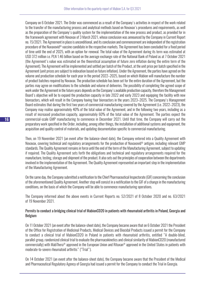Company on 6 October 2021. The Order was commenced as a result of the Company's activities in respect of the work related to the transfer of the manufacturing process and analytical methods based on Novavax's procedures and requirements, as well as the preparation of the Company's quality system for the implementation of the new process and product, as provided for in the framework agreement with Novavax of 3 March 2021, whose conclusion was announced by the Company in Current Report no. 15/2021. The Agreement in place is unconditional, and its conclusion and commencement are independent of the registration procedure of the Nuvaxovid® vaccine candidate in the respective markets. The Agreement has been concluded for a fixed period of time until the end of 2025, with an option for renewal. The total value of the Agreement during its term was estimated at USD 372 million i.e. PLN 1.46 billion based on the average exchange rate of the National Bank of Poland as at 7 October 2021 (the Agreement's value was estimated on the theoretical assumption of future zero inflation during the entire term of the Agreement). The Agreement will be implemented and settled per batch of the Product, at the unit price per batch specified in the Agreement (unit prices are subject to indexation based on future inflation). Under the Agreement, the parties have agreed on the volume and production schedule for each year in the period 2022–2025, based on which Mabion will manufacture the number of product batches required by Novavax. The production schedule has been set for the entire duration of the Agreement, but the parties may agree on modifications to the schedule and volume of deliveries. The possibility of completing the agreed scope of work under the Agreement in the future years depends on the Company's available production capacity, therefore the Management Board's objective will be to expand the production capacity in late 2022 and early 2023 and equipping the facility with new bioreactors, which will result in the Company having four bioreactors in the years 2023–2025. The Company's Management Board estimates that during the first two years of commercial manufacturing covered by the Agreement (i.e. 2022–2023), the Company may realise approximately 40% of the total value of the Agreement, and in the following two years, including as a result of increased production capacity, approximately 60% of the total value of the Agreement. The parties expect the commercial-scale GMP manufacturing to commence in December 2021. Until that time, the Company will carry out the preparatory work specified in the Order, including, among other things, the installation of additional systems and equipment, the acquisition and quality control of materials, and updating documentation specific to commercial manufacturing.

Then, on 19 November 2021 (an event after the balance-sheet date), the Company entered into a Quality Agreement with Novavax, covering technical and regulatory arrangements for the production of Nuvaxovid® antigen, including relevant GMP standards. The Quality Agreement remains in force until the end of the term of the Manufacturing Agreement, subject to updating if required. The Quality Agreement sets forth the obligations and technical and regulatory arrangements required for the manufacture, testing, storage and shipment of the product. It also sets out the principles of cooperation between the departments involved in the implementation of the Agreement. The Quality Agreement represented an important step in the implementation of the Manufacturing Agreement.

On the same day, the Company submitted a notification to the Chief Pharmaceutical Inspectorate (GIF) concerning the conclusion of the aforementioned Quality Agreement. Another step will consist in a notification to the GIF of a change in the manufacturing conditions, on the basis of which the Company will be able to commence manufacturing operations.

The Company informed about the above events in Current Reports no. 52/2021 of 8 October 2020 and no. 63/2021 of 19 November 2021.

#### Permits to conduct a bridging clinical trial of MabionCD20 in patients with rheumatoid arthritis in Poland, Georgia and Belgium

On 11 October 2021 (an event after the balance-sheet date), the Company became aware that on 6 October 2021 the President of the Office for Registration of Medicinal Products, Medical Devices and Biocidal Products issued a permit for the Company to conduct a clinical trial of MabionCD20 in Poland in patients with rheumatoid arthritis, entitled "A double-blind, parallel-group, randomized clinical trial to evaluate the pharmacokinetics and clinical similarity of MabionCD20 (manufactured commercially) with MabThera® approved in the European Union and Rituxan® approved in the United States in patients with moderate-to-severe rheumatoid arthritis" ("Trial").

On 14 October 2021 (an event after the balance-sheet date), the Company became aware that the President of the Medical and Pharmaceutical Regulatory Agency of Georgia had issued a permit for the Company to conduct the Trial in Georgia.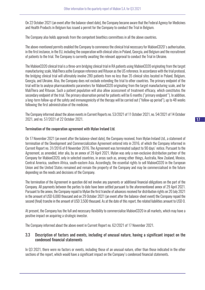On 22 October 2021 (an event after the balance-sheet date), the Company became aware that the Federal Agency for Medicines and Health Products in Belgium has issued a permit for the Company to conduct the Trial in Belgium.

The Company also holds approvals from the competent bioethics committees in all the above countries.

The above-mentioned permits enabled the Company to commence the clinical trial necessary for MabionCD20's authorisation, in the first instance, in the EU, including the cooperation with clinical sites in Poland, Georgia, and Belgium and the recruitment of patients to the trial. The Company is currently awaiting the relevant approval to conduct the Trial in Ukraine.

The MabionCD20 clinical trial is a three-arm bridging clinical trial in RA patients using MabionCD20 originating from the target manufacturing scale, MabThera asthe European reference and Rituxan as the US reference. In accordance with the trial protocol, the bridging clinical trial will ultimately involve 280 patients from no less than 35 clinical sites located in Poland, Belgium, Georgia, and Ukraine. Also, the Company does not exclude extending the trial to other countries. The primary endpoint of the trial will be to analyse pharmacokinetic parameters for MabionCD20 originating from the target manufacturing scale, and for MabThera and Rituxan. Such a patient population will also allow assessment of treatment efficacy, which constitutes the secondary endpoint of the trial. The primary observation period for patients will be 6 months ("primary endpoint"). In addition, a long-term follow-up of the safety and immunogenicity of the therapy will be carried out ("follow-up period"), up to 48 weeks following the first administration of the medicine.

The Company informed about the above events in Current Reports no. 53/2021 of 11 October 2021, no. 54/2021 of 14 October 2021, and no. 57/2021 of 22 October 2021.

#### Termination of the cooperation agreement with Mylan Ireland Ltd.

On 17 November 2021 (an event after the balance-sheet date), the Company received, from Mylan Ireland Ltd., a statement of termination of the Development and Commercialization Agreement entered into in 2016, of which the Company informed in Current Report no. 31/2016 of 8 November 2016. The Agreement was terminated subject to 90 days' notice. Pursuant to the Agreement, as amended, inter alia, by an annex of 29 April 2021, Mylan was only a non-exclusive distribution partner of the Company for MabionCD20, only in selected countries, in areas such as, among other things, Australia, New Zealand, Mexico, Central America, southern Africa, south-eastern Asia. Accordingly, the essential rights to sell MabionCD20 in the European Union and the United States remained and remain the property of the Company and may be commercialised in the future depending on the needs and decisions of the Company.

The termination of the Agreement in question did not involve any payments or additional financial obligations on the part of the Company. All payments between the parties to date have been settled pursuant to the aforementioned annex of 29 April 2021. Pursuant to the annex, the Company repaid to Mylan the first tranche of advances received for distribution rights on 20 July 2021 in the amount of USD 6,000 thousand and on 29 October 2021 (an event after the balance-sheet event) the Company repaid the second (final) tranche in the amount of USD 3,500 thousand. As at the date of this report, the related liabilities amount to USD 0.

At present, the Company has the full and necessary flexibility to commercialise MabionCD20 in all markets, which may have a positive impact on acquiring a strategic investor.

The Company informed about the above event in Current Report no. 62/2021 of 17 November 2021.

#### 3.3 Description of factors and events, including of unusual nature, having a significant impact on the condensed financial statements

In Q3 2021, there were no factors or events, including those of an unusual nature, other than those indicated in the other sections of the report, which would have a significant impact on the Company's condensed financial statements.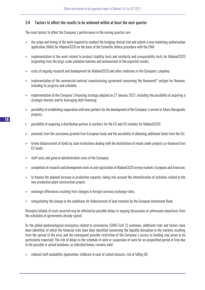## 3.4 Factors to affect the results to be achieved within at least the next quarter

The main factors to affect the Company's performance in the coming quarters are:

- » the scope and timing of the work required to conduct the bridging clinical trial and submit a new marketing authorisation application (MAA) for MabionCD20 on the basis of the Scientific Advice procedure with the EMA;
- » implementation of the work related to product stability tests and similarity and comparability tests for MabionCD20 originating from the large-scale validation batches and achievement of the expected results;
- » costs of ongoing research and development for MabionCD20 and other medicines in the Company's pipeline;
- » implementation of the commercial contract manufacturing agreement concerning the Nuvaxovid® antigen for Novavax, including its progress and schedule;
- » implementation of the Company's financing strategy adopted on 27 January 2021, including the possibility of acquiring a strategic investor and/or leveraging debt financing;
- » possibility of establishing cooperation with new partners for the development of the Company's current or future therapeutic projects;
- » possibility of acquiring a distribution partner or partners for the EU and US markets for MabionCD20;
- » proceeds from the assistance granted from European funds and the possibility of obtaining additional funds from the EU;
- » timely disbursement of funds by state institutions dealing with the distribution of means under projects co-financed from EU funds;
- » staff costs and general administration costs of the Company;
- » completion of research and development work on and registration of MabionCD20 on key markets: European and American;
- » to finance the planned increase in production capacity, taking into account the intensification of activities related to the new production plant construction project;
- » exchange differences resulting from changes in foreign currency exchange rates;
- » renegotiating the change in the conditions for disbursement of loan tranches by the European Investment Bank.

Receipts/refunds of costs incurred may be affected by possible delays in ongoing discussions or unforeseen departures from the schedules of agreements already signed.

As the global epidemiological emergency related to coronavirus (SARS-CoV-2) continues, additional risks and factors have been identified, of which the financial risks have been identified concerning the liquidity disruption in the markets resulting from the spread of the virus and the consequent possible restriction of the Company's access to funding may prove to be particularly important. The risk of delays in the schedule of work or suspension of work for an unspecified period of time due to the possible or actual lockdown, as indicated below, remains valid:

» reduced staff availability (quarantine, childcare in case of school closures, risk of falling ill);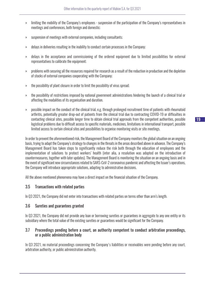- » limiting the mobility of the Company's employees suspension of the participation of the Company's representatives in meetings and conferences, both foreign and domestic;
- » suspension of meetings with external companies, including consultants;
- » delays in deliveries resulting in the inability to conduct certain processes in the Company;
- » delays in the acceptance and commissioning of the ordered equipment due to limited possibilities for external representatives to calibrate the equipment;
- » problems with securing all the resources required for research as a result of the reduction in production and the depletion of stocks of external companies cooperating with the Company;
- » the possibility of plant closure in order to limit the possibility of virus spread;
- » the possibility of restrictions imposed by national government administrations hindering the launch of a clinical trial or affecting the modalities of its organisation and duration.
- » possible impact on the conduct of the clinical trial, e.g. through prolonged recruitment time of patients with rheumatoid arthritis, potentially greater drop-out of patients from the clinical trial due to contracting COVID-19 or difficulties in contacting clinical sites, possible longer time to obtain clinical trial approvals from the competent authorities, possible logistical problems due to difficult access to specific materials, medicines, limitations in international transport, possible limited access to certain clinical sites and possibilities to organise monitoring visits or site meetings.

In order to prevent the aforementioned risk, the Management Board of the Company monitors the global situation on an ongoing basis, trying to adapt the Company's strategy to changes in the threats in the areas described above in advance. The Company's Management Board has taken steps to significantly reduce the risk both through the education of employees and the implementation of solutions to protect workers' health (inter alia, a resolution was adopted on the introduction of countermeasures, together with later updates). The Management Board is monitoring the situation on an ongoing basis and in the event of significant new circumstances related to SARS-CoV-2 coronavirus pandemic and affecting the Issuer's operations, the Company will introduce appropriate solutions, adapting to administrative decisions.

All the above mentioned phenomena may have a direct impact on the financial situation of the Company.

#### 3.5 Transactions with related parties

In Q3 2021, the Company did not enter into transactions with related parties on terms other than arm's length.

#### 3.6 Sureties and guarantees granted

In Q3 2021, the Company did not provide any loan or borrowing sureties or guarantees in aggregate to any one entity or its subsidiary where the total value of the existing sureties or guarantees would be significant for the Company.

#### 3.7 Proceedings pending before a court, an authority competent to conduct arbitration proceedings, or a public administration body

In Q3 2021, no material proceedings concerning the Company's liabilities or receivables were pending before any court, arbitration authority, or public administration authority.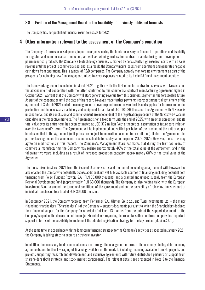#### 3.8 Position of the Management Board on the feasibility of previously published forecasts

The Company has not published financial result forecasts for 2021.

## 4 Other information relevant to the assessment of the Company's condition

The Company's future success depends, in particular, on securing the funds necessary to finance its operations and its ability to register and commercialise medicines, as well as winning orders for contract manufacturing and development of pharmaceutical products. The Company's biotechnology business is marked by consistently high research costs with no sales revenue until the project is commercialised, and, as a result, the Company incurs losses from operations and generates negative cash flows from operations. This is typical of R&D companies. The Company actively monitors its environment as part of the prospects for obtaining new financing opportunities to cover expenses related to its basic R&D and investment activities.

The framework agreement concluded in March 2021 together with the first order for contracted services with Novavax and the advancement of cooperation with the latter, confirmed by the commercial contract manufacturing agreement signed in October 2021, warrant that the Company will start generating revenue from this business segment in the foreseeable future. As part of the cooperation until the date of this report, Novavax made further payments representing partial settlement of the agreement of 3 March 2021 and of the arrangement to cover expenditure on raw materials and supplies for future commercial production and the necessary machinery and equipment for a total of USD 18,086 thousand. The Agreement with Novavax is unconditional, and its conclusion and commencement are independent of the registration procedure of the Nuvaxovid® vaccine candidate in the respective markets. The Agreement is for a fixed term until the end of 2025, with an extension option, and its total value over its entire term has been estimated at USD 372 million (with a theoretical assumption of future zero inflation over the Agreement's term). The Agreement will be implemented and settled per batch of the product, at the unit price per batch specified in the Agreement (unit prices are subject to indexation based on future inflation). Under the Agreement, the parties have agreed on the volume and production schedule for each year in the period 2022–2025. However, the parties may agree on modifications in this respect. The Company's Management Board estimates that during the first two years of commercial manufacturing, the Company may realise approximately 40% of the total value of the Agreement, and in the following two years, including as a result of increased production capacity, approximately 60% of the total value of the Agreement.

The funds raised in March 2021 from the issue of U series shares and the fact of concluding an agreement with Novavax Inc. also enabled the Company to potentially access additional, not yet fully available sources of financing, including potential debt financing from Polski Fundusz Rozwoju S.A. (PLN 30,000 thousand) and a granted and unused subsidy from the European Regional Development Fund (approximately PLN 63,000 thousand). The Company is also holding talks with the European Investment Bank to amend the terms and conditions of the agreement and on the possibility of releasing funds as part of individual tranches up to a total of EUR 30,000 thousand.

In September 2021, the Company received, from Polfarmex S.A., Glatton Sp. z o.o., and Twiti Investments Ltd. – the major (founding) shareholders ("Shareholders") of the Company – support documents pursuant to which the Shareholders declared their financial support for the Company for a period of at least 13 months from the date of the support document. In the Company's opinion, the declaration of the major Shareholders regarding the recapitalisation confirms and provides important support in terms of the possibility to implement the adopted registration strategy for the key project (MabionCD20).

At the same time, in accordance with the long-term financing strategy for the Company's activities as adopted in January 2021, the Company is taking steps to acquire a strategic investor.

In addition, the necessary funds can be also ensured through the change in the terms of the currently binding debt financing agreements and further leveraging of financing available on the market, including financing available from EU projects and projects supporting research and development, and exclusive agreements with future distribution partners or support from shareholders (both strategic and stock market participants). The relevant details are presented in Note 3 to the Financial Statements.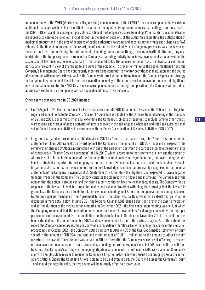In connection with the WHO (World Health Organization) announcement of the COVID-19 coronavirus pandemic worldwide, additional financial risks have been identified in relation to the liquidity disruption in the markets resulting from the spread of the COVID-19 virus and the consequent possible restriction of the Company's access to funding. Potential shifts in administrative processes also cannot be ruled out, including both in the area of decisions of the authorities regulating the authorisation of medicinal products and in the area of decisions of public authorities awarding and accounting for grants and subsidies or VAT refunds. At the time of submission of the report, no information on the redeployment of ongoing processes was received from these authorities. The persisting state of pandemic, including, among other things, passenger traffic limitations, may also contribute to the temporary need to reduce the Company's marketing activity in business development area, as well as the suspension of key business decisions as part of the conducted talks. The above-mentioned risks in individual areas remain particularly relevant in view of the raising fourth wave of the epidemic. To prevent or minimise the above-mentioned risks, the Company's Management Board has continuously monitored and continues to monitor both the global situation and the course of cooperation with counterparties as well as the Company's internal situation, trying to adapt the Company's plans and strategy to the epidemic situation and the risks and their evolution occurring in the areas described above. In the event of significant new circumstances related to SARS-CoV-2 coronavirus pandemic and affecting the operations, the Company will introduce appropriate solutions, also complying with all applicable administrative decisions.

#### Other events that occurred in Q3 2021 include:

- » On 10 August 2021, the District Court for Łódź-Śródmieście in Łódź, 20th Commercial Division of the National Court Register, registered amendments to the Company's Articles of Association as adopted by the Ordinary General Meeting of the Company of 22 June 2021, concerning, inter alia, extending the Company's objects of business to include, among other things, warehousing and storage of goods, activities of agents engaged in the sale of goods, wholesale and retail sales, professional, scientific and technical activities, in accordance with the Polish Classification of Business Activities (PKD 2007).
- » Litigation instigated as a result of a suit filed in March 2021 by Altiora d. o.o., based in Zagreb ("Altiora"). As set out in the statement of claim, Altiora seeks an award against the Company of the amount of EUR 359 thousand in respect of the remuneration charged by Altiora in connection with one of the agreements between the parties concerning the performance of clinical trials ("Master Service Agreement" of July 2013) which, according to the statement of claim and the opinion of Altiora, is still in force. In the opinion of the Company, the disputed value is not significant and, moreover the agreement is not strategically important to the Company as there are other CRO companies that can provide such services. Possible litigation costs, as per estimates carried out to the best knowledge, have been appropriately recognised in the financial statements of the Company drawn up as at 30 September 2021, therefore the litigation is not expected to have a negative financial impact on the Company. The Company contests the claim both in principle and in amount. The Company is of the opinion that the action is groundless and the claims submitted therein have no legal or factual basis. The Company filed a response to the lawsuit, in which it presented claims and evidence together with allegations proving that the lawsuit is groundless. The Company also intends to take its own claims held against Altiora for compensation for damages caused by the improper performance of the Agreement to court. This claim was partly covered by a set-off charge, which is discussed in more detail below. In June 2021, the Regional Court in Łódź issued a decision to refer the case to mediation and set the duration of the mediation for 4 months. In September 2021, the first conciliation meeting was held, at which the Company requested that the mediation be extended to include its own claims for damages caused by the improper performance of the agreement. Further mediation meetings took place in October and November 2021. The mediation has been extended until the end of December 2021 and may be extended further if the parties so agree. As at the date of this report, the Company cannot assess the possibility of a composition with Altiora. Notwithstanding the course of the mediation proceedings, in October 2021, the Company, acting pursuant to Article 499 of the Civil Code, made a statement of claim set-off in the amount of EUR 264 thousand and in the amount of PLN 1.1 million, up to the amount of Altiora's claim asserted in the lawsuit. The statement was served on Altiora. Thereafter, the Company asserted a set-off charge in respect of the above-mentioned amounts in court proceedings pending before the Regional Court in Łódź as a result of a suit filed by Altiora. The Company's strategy in the ongoing litigation is to concentrate both claims (Altiora's claim and Company's claim) in a single action in order to reduce the Company's litigation risk which would ensue from bringing a separate action against Altiora. Should the Court find Altiora's claim to be valid even in part, the Court will assess the Company's claim - and should the latter be valid, the two claims will be mutually offset to a lower value.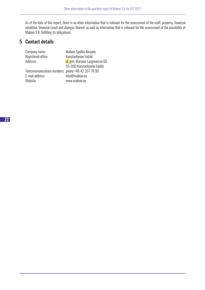As of the date of this report, there is no other information that is relevant for the assessment of the staff, property, financial condition, financial result and changes thereof, as well as information that is relevant for the assessment of the possibility of Mabion S.A. fulfilling its obligations.

# 5 Contact details

| Company name:                                      | Mabion Spółka Akcyjna           |
|----------------------------------------------------|---------------------------------|
| Registered office:                                 | Konstantynów Łódzki             |
| Address:                                           | ul. gen. Mariana Langiewicza 60 |
|                                                    | 95-050 Konstantynów Łódzki      |
| Telecommunications numbers: phone +48 42 207 78 90 |                                 |
| E-mail address:                                    | info@mabion.eu                  |
| Website                                            | www.mabion.eu                   |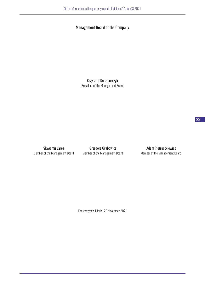## Management Board of the Company

Krzysztof Kaczmarczyk President of the Management Board

Sławomir Jaros **Grzegorz Grabowicz Grammatical Adam Pietruszkiewicz** 

Member of the Management Board Member of the Management Board Member of the Management Board

Konstantynów Łódzki, 29 November 2021